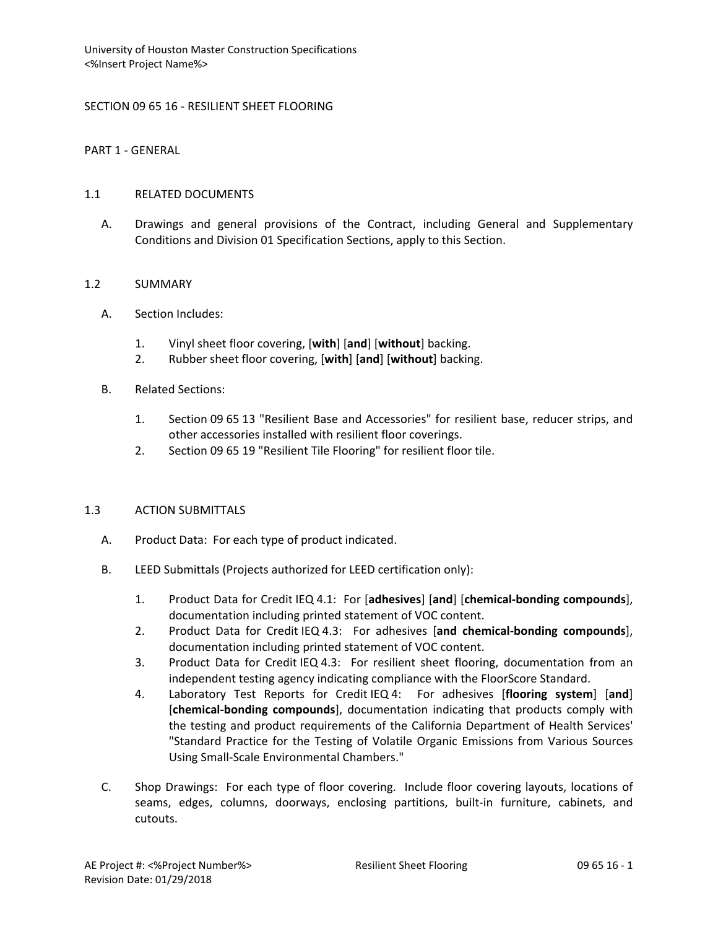## SECTION 09 65 16 - RESILIENT SHEET FLOORING

PART 1 - GENERAL

## 1.1 RELATED DOCUMENTS

A. Drawings and general provisions of the Contract, including General and Supplementary Conditions and Division 01 Specification Sections, apply to this Section.

## 1.2 SUMMARY

- A. Section Includes:
	- 1. Vinyl sheet floor covering, [**with**] [**and**] [**without**] backing.
	- 2. Rubber sheet floor covering, [**with**] [**and**] [**without**] backing.
- B. Related Sections:
	- 1. Section 09 65 13 "Resilient Base and Accessories" for resilient base, reducer strips, and other accessories installed with resilient floor coverings.
	- 2. Section 09 65 19 "Resilient Tile Flooring" for resilient floor tile.

#### 1.3 ACTION SUBMITTALS

- A. Product Data: For each type of product indicated.
- B. LEED Submittals (Projects authorized for LEED certification only):
	- 1. Product Data for Credit IEQ 4.1: For [**adhesives**] [**and**] [**chemical-bonding compounds**], documentation including printed statement of VOC content.
	- 2. Product Data for Credit IEQ 4.3: For adhesives [**and chemical-bonding compounds**], documentation including printed statement of VOC content.
	- 3. Product Data for Credit IEQ 4.3: For resilient sheet flooring, documentation from an independent testing agency indicating compliance with the FloorScore Standard.
	- 4. Laboratory Test Reports for Credit IEQ 4: For adhesives [**flooring system**] [**and**] [**chemical-bonding compounds**], documentation indicating that products comply with the testing and product requirements of the California Department of Health Services' "Standard Practice for the Testing of Volatile Organic Emissions from Various Sources Using Small-Scale Environmental Chambers."
- C. Shop Drawings: For each type of floor covering. Include floor covering layouts, locations of seams, edges, columns, doorways, enclosing partitions, built-in furniture, cabinets, and cutouts.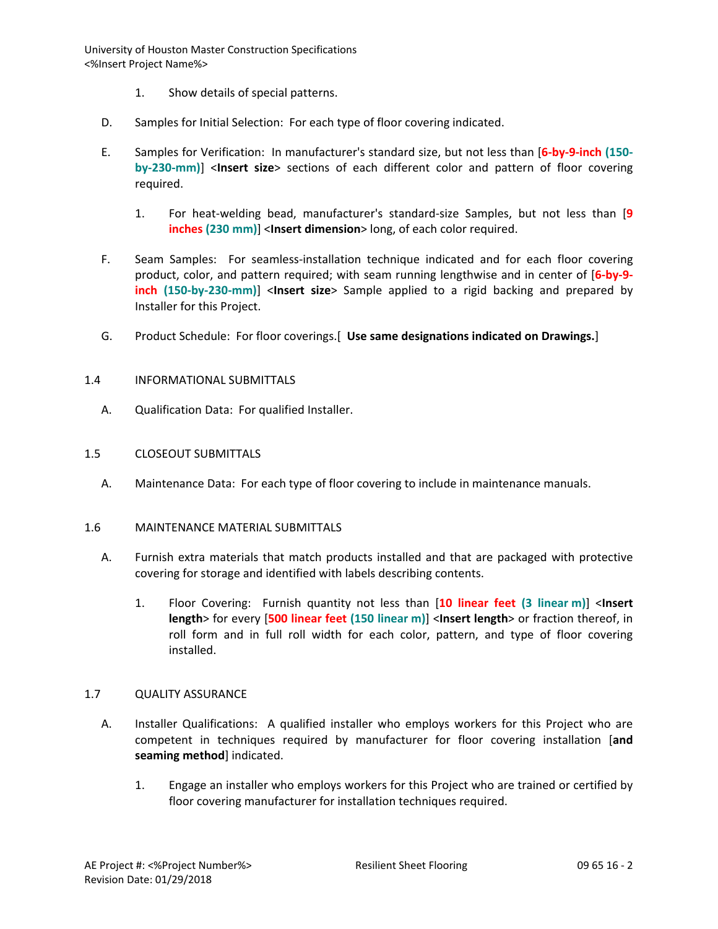- 1. Show details of special patterns.
- D. Samples for Initial Selection: For each type of floor covering indicated.
- E. Samples for Verification: In manufacturer's standard size, but not less than [**6-by-9-inch (150 by-230-mm)**] <**Insert size**> sections of each different color and pattern of floor covering required.
	- 1. For heat-welding bead, manufacturer's standard-size Samples, but not less than [**9 inches (230 mm)**] <**Insert dimension**> long, of each color required.
- F. Seam Samples: For seamless-installation technique indicated and for each floor covering product, color, and pattern required; with seam running lengthwise and in center of [**6-by-9 inch (150-by-230-mm)**] <**Insert size**> Sample applied to a rigid backing and prepared by Installer for this Project.
- G. Product Schedule: For floor coverings.[ **Use same designations indicated on Drawings.**]

## 1.4 INFORMATIONAL SUBMITTALS

A. Qualification Data: For qualified Installer.

#### 1.5 CLOSEOUT SUBMITTALS

A. Maintenance Data: For each type of floor covering to include in maintenance manuals.

#### 1.6 MAINTENANCE MATERIAL SUBMITTALS

- A. Furnish extra materials that match products installed and that are packaged with protective covering for storage and identified with labels describing contents.
	- 1. Floor Covering: Furnish quantity not less than [**10 linear feet (3 linear m)**] <**Insert length**> for every [**500 linear feet (150 linear m)**] <**Insert length**> or fraction thereof, in roll form and in full roll width for each color, pattern, and type of floor covering installed.

#### 1.7 QUALITY ASSURANCE

- A. Installer Qualifications: A qualified installer who employs workers for this Project who are competent in techniques required by manufacturer for floor covering installation [**and seaming method**] indicated.
	- 1. Engage an installer who employs workers for this Project who are trained or certified by floor covering manufacturer for installation techniques required.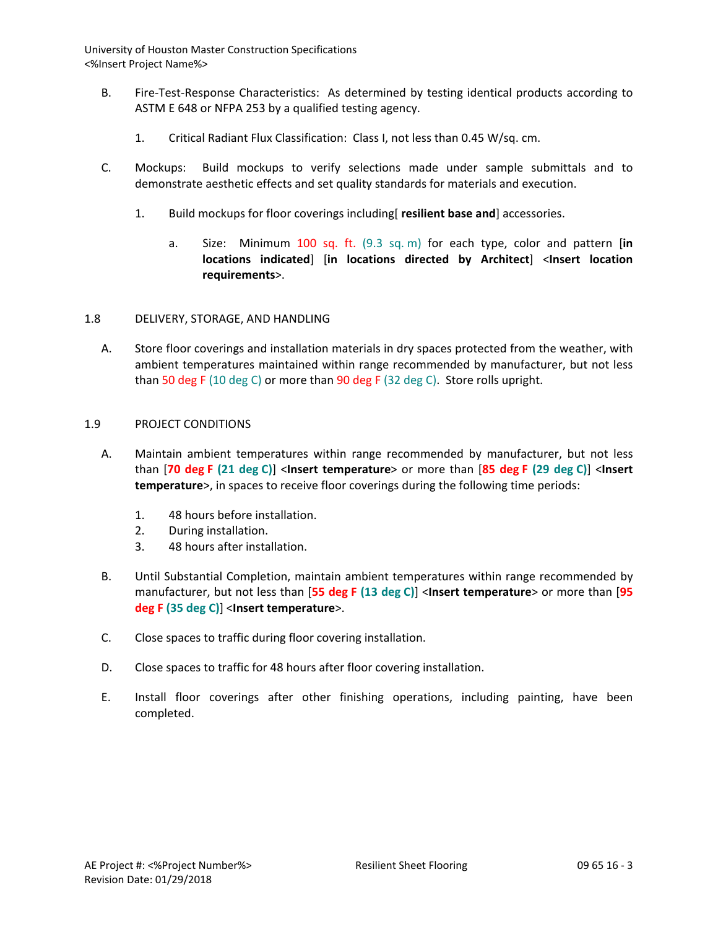- B. Fire-Test-Response Characteristics: As determined by testing identical products according to ASTM E 648 or NFPA 253 by a qualified testing agency.
	- 1. Critical Radiant Flux Classification: Class I, not less than 0.45 W/sq. cm.
- C. Mockups: Build mockups to verify selections made under sample submittals and to demonstrate aesthetic effects and set quality standards for materials and execution.
	- 1. Build mockups for floor coverings including[ **resilient base and**] accessories.
		- a. Size: Minimum 100 sq. ft. (9.3 sq. m) for each type, color and pattern [**in locations indicated**] [**in locations directed by Architect**] <**Insert location requirements**>.

## 1.8 DELIVERY, STORAGE, AND HANDLING

A. Store floor coverings and installation materials in dry spaces protected from the weather, with ambient temperatures maintained within range recommended by manufacturer, but not less than 50 deg F (10 deg C) or more than 90 deg F (32 deg C). Store rolls upright.

## 1.9 PROJECT CONDITIONS

- A. Maintain ambient temperatures within range recommended by manufacturer, but not less than [**70 deg F (21 deg C)**] <**Insert temperature**> or more than [**85 deg F (29 deg C)**] <**Insert temperature**>, in spaces to receive floor coverings during the following time periods:
	- 1. 48 hours before installation.
	- 2. During installation.
	- 3. 48 hours after installation.
- B. Until Substantial Completion, maintain ambient temperatures within range recommended by manufacturer, but not less than [**55 deg F (13 deg C)**] <**Insert temperature**> or more than [**95 deg F (35 deg C)**] <**Insert temperature**>.
- C. Close spaces to traffic during floor covering installation.
- D. Close spaces to traffic for 48 hours after floor covering installation.
- E. Install floor coverings after other finishing operations, including painting, have been completed.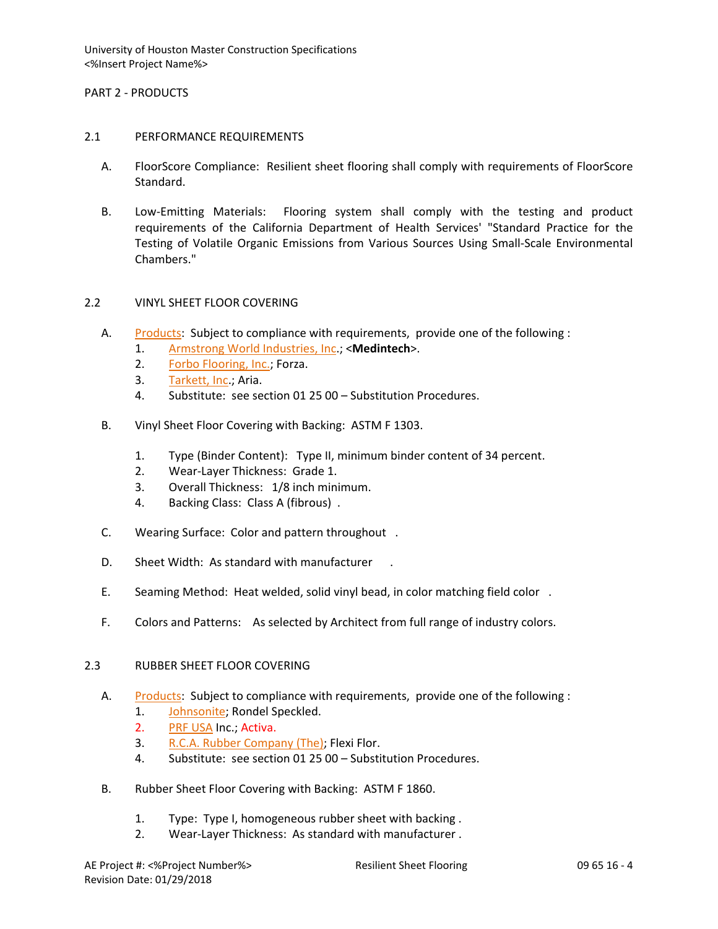## PART 2 - PRODUCTS

## 2.1 PERFORMANCE REQUIREMENTS

- A. FloorScore Compliance: Resilient sheet flooring shall comply with requirements of FloorScore Standard.
- B. Low-Emitting Materials: Flooring system shall comply with the testing and product requirements of the California Department of Health Services' "Standard Practice for the Testing of Volatile Organic Emissions from Various Sources Using Small-Scale Environmental Chambers."

## 2.2 VINYL SHEET FLOOR COVERING

- A. [Products:](http://www.specagent.com/LookUp/?ulid=479&mf=04&src=wd) Subject to compliance with requirements, provide one of the following :
	- 1. [Armstrong World Industries, Inc.](http://www.specagent.com/LookUp/?uid=123456789389&mf=04&src=wd); <**Medintech**>.
	- 2. [Forbo Flooring, Inc.;](http://www.specagent.com/LookUp/?uid=123456815021&mf=04&src=wd) Forza.
	- 3. [Tarkett, Inc.](http://www.specagent.com/LookUp/?uid=123456792949&mf=04&src=wd); Aria.
	- 4. Substitute: see section 01 25 00 Substitution Procedures.
- B. Vinyl Sheet Floor Covering with Backing: ASTM F 1303.
	- 1. Type (Binder Content): Type II, minimum binder content of 34 percent.
	- 2. Wear-Layer Thickness: Grade 1.
	- 3. Overall Thickness: 1/8 inch minimum.
	- 4. Backing Class: Class A (fibrous) .
- C. Wearing Surface: Color and pattern throughout .
- D. Sheet Width: As standard with manufacturer.
- E. Seaming Method: Heat welded, solid vinyl bead, in color matching field color .
- F. Colors and Patterns: As selected by Architect from full range of industry colors.

#### 2.3 RUBBER SHEET FLOOR COVERING

- A. [Products:](http://www.specagent.com/LookUp/?ulid=480&mf=04&src=wd) Subject to compliance with requirements, provide one of the following :
	- 1. [Johnsonite;](http://www.specagent.com/LookUp/?uid=123456815027&mf=04&src=wd) Rondel Speckled.
	- 2. [PRF USA](http://www.specagent.com/LookUp/?uid=123456815033&mf=04&src=wd) Inc.; Activa.
	- 3. [R.C.A. Rubber Company \(The\);](http://www.specagent.com/LookUp/?uid=123456815035&mf=04&src=wd) Flexi Flor.
	- 4. Substitute: see section 01 25 00 Substitution Procedures.
- B. Rubber Sheet Floor Covering with Backing: ASTM F 1860.
	- 1. Type: Type I, homogeneous rubber sheet with backing .
	- 2. Wear-Layer Thickness: As standard with manufacturer .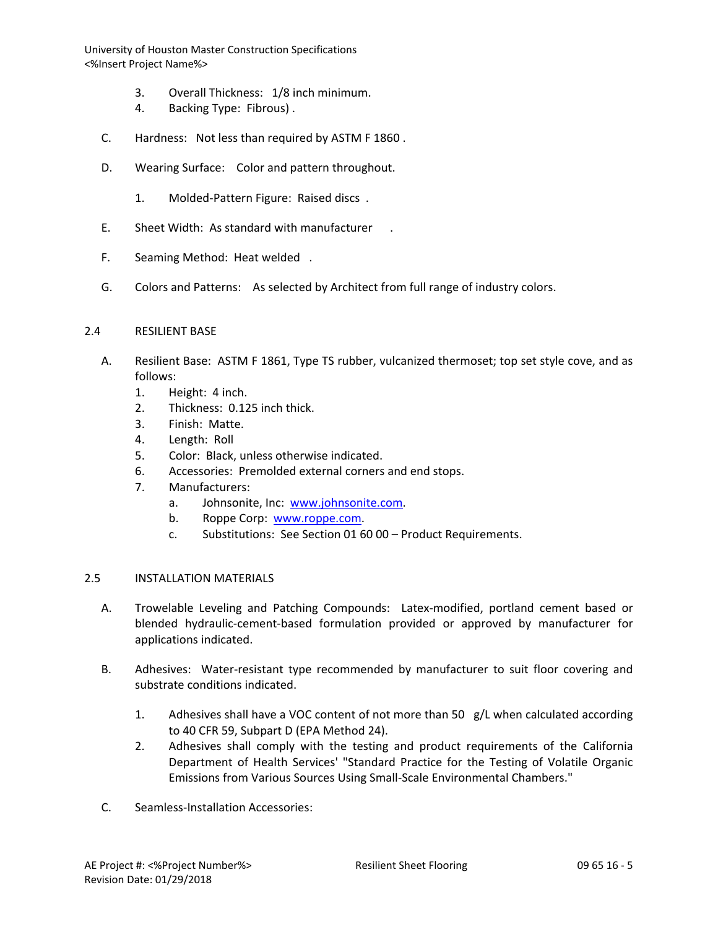- 3. Overall Thickness: 1/8 inch minimum.
- 4. Backing Type: Fibrous) .
- C. Hardness: Not less than required by ASTM F 1860 .
- D. Wearing Surface: Color and pattern throughout.
	- 1. Molded-Pattern Figure: Raised discs .
- E. Sheet Width: As standard with manufacturer .
- F. Seaming Method: Heat welded .
- G. Colors and Patterns: As selected by Architect from full range of industry colors.

## 2.4 RESILIENT BASE

- A. Resilient Base: ASTM F 1861, Type TS rubber, vulcanized thermoset; top set style cove, and as follows:
	- 1. Height: 4 inch.
	- 2. Thickness: 0.125 inch thick.
	- 3. Finish: Matte.
	- 4. Length: Roll
	- 5. Color: Black, unless otherwise indicated.
	- 6. Accessories: Premolded external corners and end stops.
	- 7. Manufacturers:
		- a. Johnsonite, Inc: [www.johnsonite.com.](http://www.johnsonite.com/)
		- b. Roppe Corp: [www.roppe.com.](http://www.roppe.com/)
		- c. Substitutions: See Section 01 60 00 Product Requirements.

## 2.5 INSTALLATION MATERIALS

- A. Trowelable Leveling and Patching Compounds: Latex-modified, portland cement based or blended hydraulic-cement-based formulation provided or approved by manufacturer for applications indicated.
- B. Adhesives: Water-resistant type recommended by manufacturer to suit floor covering and substrate conditions indicated.
	- 1. Adhesives shall have a VOC content of not more than 50  $g/L$  when calculated according to 40 CFR 59, Subpart D (EPA Method 24).
	- 2. Adhesives shall comply with the testing and product requirements of the California Department of Health Services' "Standard Practice for the Testing of Volatile Organic Emissions from Various Sources Using Small-Scale Environmental Chambers."
- C. Seamless-Installation Accessories: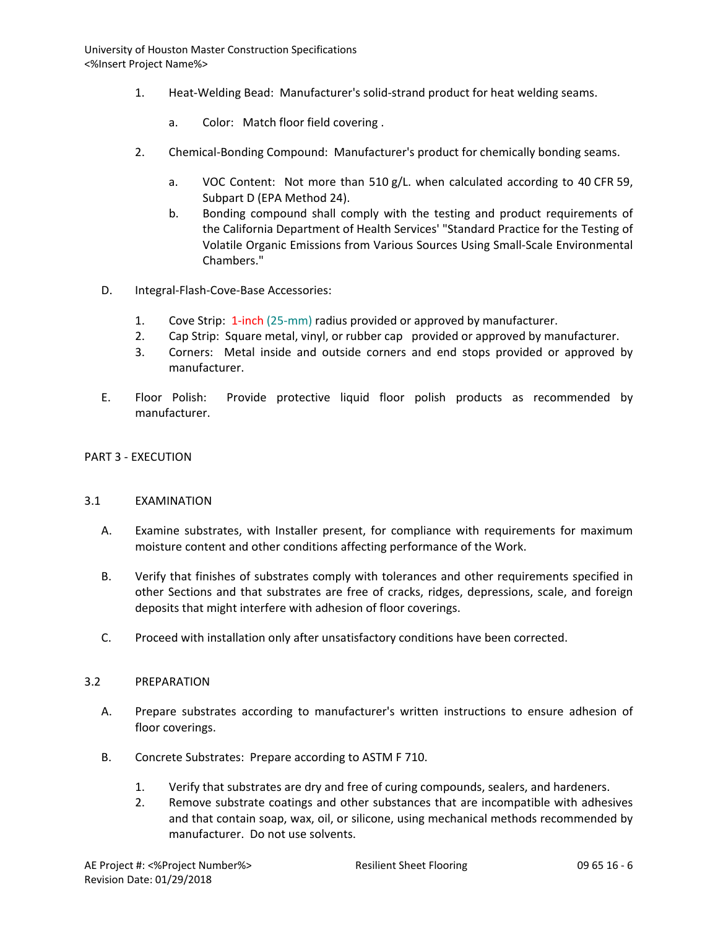- 1. Heat-Welding Bead: Manufacturer's solid-strand product for heat welding seams.
	- a. Color: Match floor field covering .
- 2. Chemical-Bonding Compound: Manufacturer's product for chemically bonding seams.
	- a. VOC Content: Not more than 510 g/L. when calculated according to 40 CFR 59, Subpart D (EPA Method 24).
	- b. Bonding compound shall comply with the testing and product requirements of the California Department of Health Services' "Standard Practice for the Testing of Volatile Organic Emissions from Various Sources Using Small-Scale Environmental Chambers."
- D. Integral-Flash-Cove-Base Accessories:
	- 1. Cove Strip: 1-inch (25-mm) radius provided or approved by manufacturer.
	- 2. Cap Strip: Square metal, vinyl, or rubber cap provided or approved by manufacturer.
	- 3. Corners: Metal inside and outside corners and end stops provided or approved by manufacturer.
- E. Floor Polish: Provide protective liquid floor polish products as recommended by manufacturer.

#### PART 3 - EXECUTION

#### 3.1 EXAMINATION

- A. Examine substrates, with Installer present, for compliance with requirements for maximum moisture content and other conditions affecting performance of the Work.
- B. Verify that finishes of substrates comply with tolerances and other requirements specified in other Sections and that substrates are free of cracks, ridges, depressions, scale, and foreign deposits that might interfere with adhesion of floor coverings.
- C. Proceed with installation only after unsatisfactory conditions have been corrected.

#### 3.2 PREPARATION

- A. Prepare substrates according to manufacturer's written instructions to ensure adhesion of floor coverings.
- B. Concrete Substrates: Prepare according to ASTM F 710.
	- 1. Verify that substrates are dry and free of curing compounds, sealers, and hardeners.
	- 2. Remove substrate coatings and other substances that are incompatible with adhesives and that contain soap, wax, oil, or silicone, using mechanical methods recommended by manufacturer. Do not use solvents.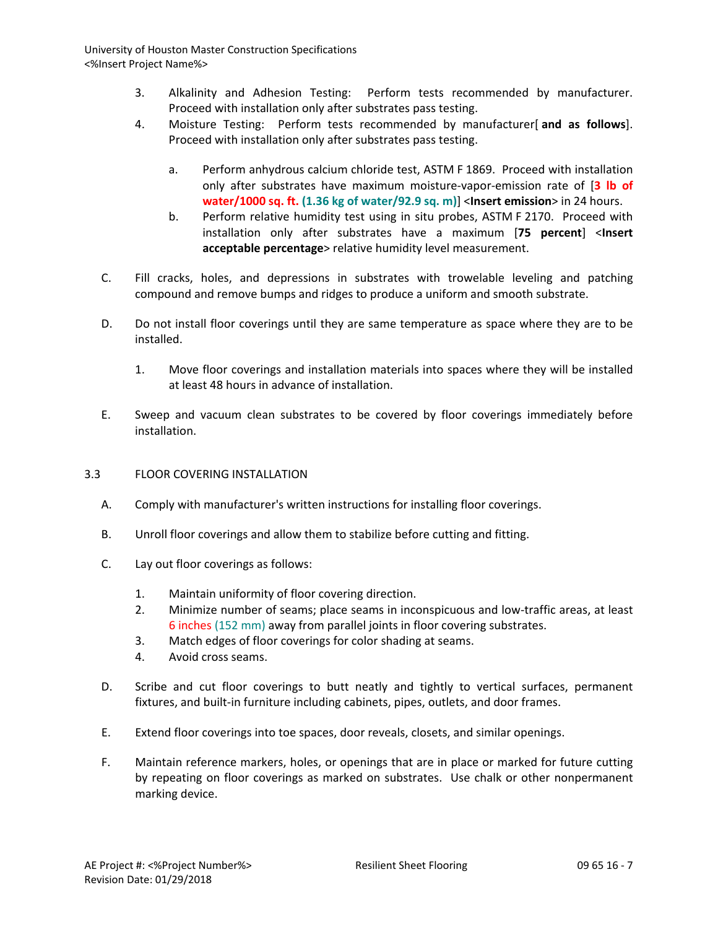- 3. Alkalinity and Adhesion Testing: Perform tests recommended by manufacturer. Proceed with installation only after substrates pass testing.
- 4. Moisture Testing: Perform tests recommended by manufacturer[ **and as follows**]. Proceed with installation only after substrates pass testing.
	- a. Perform anhydrous calcium chloride test, ASTM F 1869. Proceed with installation only after substrates have maximum moisture-vapor-emission rate of [**3 lb of water/1000 sq. ft. (1.36 kg of water/92.9 sq. m)**] <**Insert emission**> in 24 hours.
	- b. Perform relative humidity test using in situ probes, ASTM F 2170. Proceed with installation only after substrates have a maximum [**75 percent**] <**Insert acceptable percentage**> relative humidity level measurement.
- C. Fill cracks, holes, and depressions in substrates with trowelable leveling and patching compound and remove bumps and ridges to produce a uniform and smooth substrate.
- D. Do not install floor coverings until they are same temperature as space where they are to be installed.
	- 1. Move floor coverings and installation materials into spaces where they will be installed at least 48 hours in advance of installation.
- E. Sweep and vacuum clean substrates to be covered by floor coverings immediately before installation.
- 3.3 FLOOR COVERING INSTALLATION
	- A. Comply with manufacturer's written instructions for installing floor coverings.
	- B. Unroll floor coverings and allow them to stabilize before cutting and fitting.
	- C. Lay out floor coverings as follows:
		- 1. Maintain uniformity of floor covering direction.
		- 2. Minimize number of seams; place seams in inconspicuous and low-traffic areas, at least 6 inches (152 mm) away from parallel joints in floor covering substrates.
		- 3. Match edges of floor coverings for color shading at seams.
		- 4. Avoid cross seams.
	- D. Scribe and cut floor coverings to butt neatly and tightly to vertical surfaces, permanent fixtures, and built-in furniture including cabinets, pipes, outlets, and door frames.
	- E. Extend floor coverings into toe spaces, door reveals, closets, and similar openings.
	- F. Maintain reference markers, holes, or openings that are in place or marked for future cutting by repeating on floor coverings as marked on substrates. Use chalk or other nonpermanent marking device.